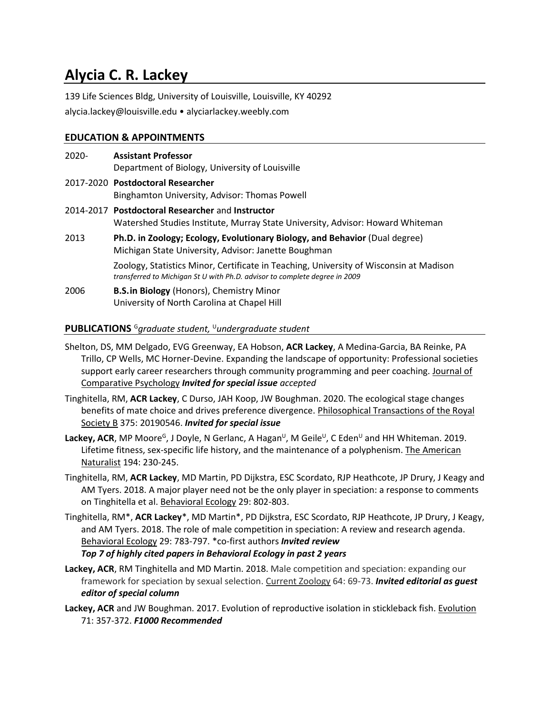# **Alycia C. R. Lackey**

139 Life Sciences Bldg, University of Louisville, Louisville, KY 40292

alycia.lackey@louisville.edu • alyciarlackey.weebly.com

# **EDUCATION & APPOINTMENTS**

2020- **Assistant Professor** Department of Biology, University of Louisville 2017-2020 **Postdoctoral Researcher** Binghamton University, Advisor: Thomas Powell 2014-2017 **Postdoctoral Researcher** and **Instructor** Watershed Studies Institute, Murray State University, Advisor: Howard Whiteman 2013 **Ph.D. in Zoology; Ecology, Evolutionary Biology, and Behavior** (Dual degree) Michigan State University, Advisor: Janette Boughman

> Zoology, Statistics Minor, Certificate in Teaching, University of Wisconsin at Madison *transferred to Michigan St U with Ph.D. advisor to complete degree in 2009*

2006 **B.S.in Biology** (Honors), Chemistry Minor University of North Carolina at Chapel Hill

# **PUBLICATIONS** <sup>G</sup>*graduate student,* <sup>U</sup>*undergraduate student*

- Shelton, DS, MM Delgado, EVG Greenway, EA Hobson, **ACR Lackey**, A Medina-Garcia, BA Reinke, PA Trillo, CP Wells, MC Horner-Devine. Expanding the landscape of opportunity: Professional societies support early career researchers through community programming and peer coaching. Journal of Comparative Psychology *Invited for special issue accepted*
- Tinghitella, RM, **ACR Lackey**, C Durso, JAH Koop, JW Boughman. 2020. The ecological stage changes benefits of mate choice and drives preference divergence. Philosophical Transactions of the Royal Society B 375: 20190546. *Invited for special issue*
- Lackey, ACR, MP Moore<sup>G</sup>, J Doyle, N Gerlanc, A Hagan<sup>∪</sup>, M Geile<sup>∪</sup>, C Eden<sup>∪</sup> and HH Whiteman. 2019. Lifetime fitness, sex-specific life history, and the maintenance of a polyphenism. The American Naturalist 194: 230-245.
- Tinghitella, RM, **ACR Lackey**, MD Martin, PD Dijkstra, ESC Scordato, RJP Heathcote, JP Drury, J Keagy and AM Tyers. 2018. A major player need not be the only player in speciation: a response to comments on Tinghitella et al. Behavioral Ecology 29: 802-803.
- Tinghitella, RM\*, **ACR Lackey**\*, MD Martin\*, PD Dijkstra, ESC Scordato, RJP Heathcote, JP Drury, J Keagy, and AM Tyers. 2018. The role of male competition in speciation: A review and research agenda. Behavioral Ecology 29: 783-797. \*co-first authors *Invited review Top 7 of highly cited papers in Behavioral Ecology in past 2 years*
- **Lackey, ACR**, RM Tinghitella and MD Martin. 2018. Male competition and speciation: expanding our framework for speciation by sexual selection. Current Zoology 64: 69-73. *Invited editorial as guest editor of special column*
- **Lackey, ACR** and JW Boughman. 2017. Evolution of reproductive isolation in stickleback fish. Evolution 71: 357-372. *F1000 Recommended*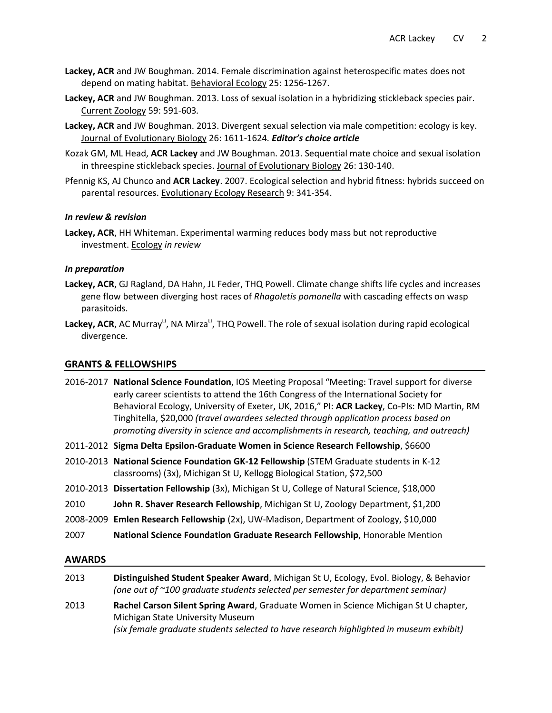- **Lackey, ACR** and JW Boughman. 2014. Female discrimination against heterospecific mates does not depend on mating habitat. Behavioral Ecology 25: 1256-1267.
- **Lackey, ACR** and JW Boughman. 2013. Loss of sexual isolation in a hybridizing stickleback species pair. Current Zoology 59: 591-603*.*
- **Lackey, ACR** and JW Boughman. 2013. Divergent sexual selection via male competition: ecology is key. Journal of Evolutionary Biology 26: 1611-1624*. Editor's choice article*
- Kozak GM, ML Head, **ACR Lackey** and JW Boughman. 2013. Sequential mate choice and sexual isolation in threespine stickleback species. Journal of Evolutionary Biology 26: 130-140.
- Pfennig KS, AJ Chunco and **ACR Lackey**. 2007. Ecological selection and hybrid fitness: hybrids succeed on parental resources. Evolutionary Ecology Research 9: 341-354.

#### *In review & revision*

**Lackey, ACR**, HH Whiteman. Experimental warming reduces body mass but not reproductive investment. Ecology *in review*

#### *In preparation*

- **Lackey, ACR**, GJ Ragland, DA Hahn, JL Feder, THQ Powell. Climate change shifts life cycles and increases gene flow between diverging host races of *Rhagoletis pomonella* with cascading effects on wasp parasitoids.
- Lackey, ACR, AC Murray<sup>U</sup>, NA Mirza<sup>U</sup>, THQ Powell. The role of sexual isolation during rapid ecological divergence.

#### **GRANTS & FELLOWSHIPS**

|               | 2016-2017 National Science Foundation, IOS Meeting Proposal "Meeting: Travel support for diverse<br>early career scientists to attend the 16th Congress of the International Society for<br>Behavioral Ecology, University of Exeter, UK, 2016," PI: ACR Lackey, Co-PIs: MD Martin, RM<br>Tinghitella, \$20,000 (travel awardees selected through application process based on<br>promoting diversity in science and accomplishments in research, teaching, and outreach) |
|---------------|---------------------------------------------------------------------------------------------------------------------------------------------------------------------------------------------------------------------------------------------------------------------------------------------------------------------------------------------------------------------------------------------------------------------------------------------------------------------------|
|               | 2011-2012 Sigma Delta Epsilon-Graduate Women in Science Research Fellowship, \$6600                                                                                                                                                                                                                                                                                                                                                                                       |
|               | 2010-2013 National Science Foundation GK-12 Fellowship (STEM Graduate students in K-12<br>classrooms) (3x), Michigan St U, Kellogg Biological Station, \$72,500                                                                                                                                                                                                                                                                                                           |
|               | 2010-2013 Dissertation Fellowship (3x), Michigan St U, College of Natural Science, \$18,000                                                                                                                                                                                                                                                                                                                                                                               |
| 2010          | John R. Shaver Research Fellowship, Michigan St U, Zoology Department, \$1,200                                                                                                                                                                                                                                                                                                                                                                                            |
|               | 2008-2009 Emlen Research Fellowship (2x), UW-Madison, Department of Zoology, \$10,000                                                                                                                                                                                                                                                                                                                                                                                     |
| 2007          | National Science Foundation Graduate Research Fellowship, Honorable Mention                                                                                                                                                                                                                                                                                                                                                                                               |
| <b>AWARDS</b> |                                                                                                                                                                                                                                                                                                                                                                                                                                                                           |
| 2013          | Distinguished Student Speaker Award, Michigan St U, Ecology, Evol. Biology, & Behavior                                                                                                                                                                                                                                                                                                                                                                                    |

*(one out of ~100 graduate students selected per semester for department seminar)* 2013 **Rachel Carson Silent Spring Award**, Graduate Women in Science Michigan St U chapter, Michigan State University Museum *(six female graduate students selected to have research highlighted in museum exhibit)*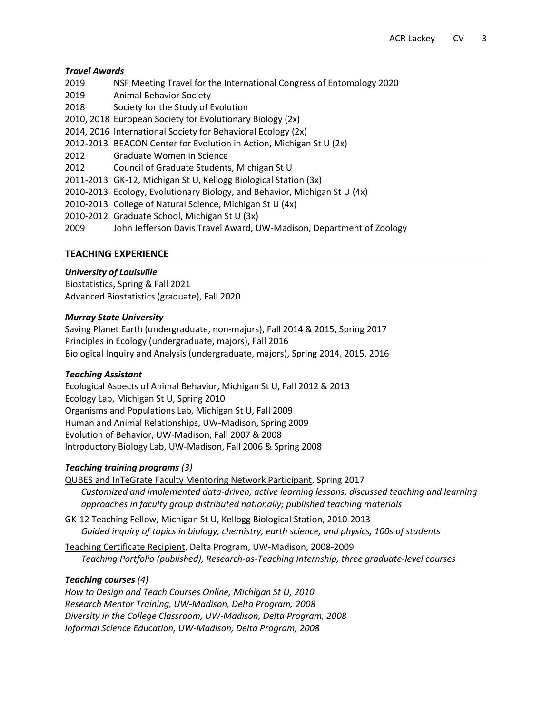## *Travel Awards*

- 2019 NSF Meeting Travel for the International Congress of Entomology 2020
- 2019 Animal Behavior Society
- 2018 Society for the Study of Evolution
- 2010, 2018 European Society for Evolutionary Biology (2x)
- 2014, 2016 International Society for Behavioral Ecology (2x)
- 2012-2013 BEACON Center for Evolution in Action, Michigan St U (2x)
- 2012 Graduate Women in Science
- 2012 Council of Graduate Students, Michigan St U
- 2011-2013 GK-12, Michigan St U, Kellogg Biological Station (3x)
- 2010-2013 Ecology, Evolutionary Biology, and Behavior, Michigan St U (4x)
- 2010-2013 College of Natural Science, Michigan St U (4x)
- 2010-2012 Graduate School, Michigan St U (3x)
- 2009 John Jefferson Davis Travel Award, UW-Madison, Department of Zoology

# **TEACHING EXPERIENCE**

# *University of Louisville*

Biostatistics, Spring & Fall 2021 Advanced Biostatistics (graduate), Fall 2020

# *Murray State University*

Saving Planet Earth (undergraduate, non-majors), Fall 2014 & 2015, Spring 2017 Principles in Ecology (undergraduate, majors), Fall 2016 Biological Inquiry and Analysis (undergraduate, majors), Spring 2014, 2015, 2016

# *Teaching Assistant*

Ecological Aspects of Animal Behavior, Michigan St U, Fall 2012 & 2013 Ecology Lab, Michigan St U, Spring 2010 Organisms and Populations Lab, Michigan St U, Fall 2009 Human and Animal Relationships, UW-Madison, Spring 2009 Evolution of Behavior, UW-Madison, Fall 2007 & 2008 Introductory Biology Lab, UW-Madison, Fall 2006 & Spring 2008

# *Teaching training programs (3)*

QUBES and InTeGrate Faculty Mentoring Network Participant, Spring 2017 *Customized and implemented data-driven, active learning lessons; discussed teaching and learning approaches in faculty group distributed nationally; published teaching materials* 

GK-12 Teaching Fellow, Michigan St U, Kellogg Biological Station, 2010-2013 *Guided inquiry of topics in biology, chemistry, earth science, and physics, 100s of students*

Teaching Certificate Recipient, Delta Program, UW-Madison, 2008-2009 *Teaching Portfolio (published), Research-as-Teaching Internship, three graduate-level courses*

## *Teaching courses (4)*

*How to Design and Teach Courses Online, Michigan St U, 2010 Research Mentor Training, UW-Madison, Delta Program, 2008 Diversity in the College Classroom, UW-Madison, Delta Program, 2008 Informal Science Education, UW-Madison, Delta Program, 2008*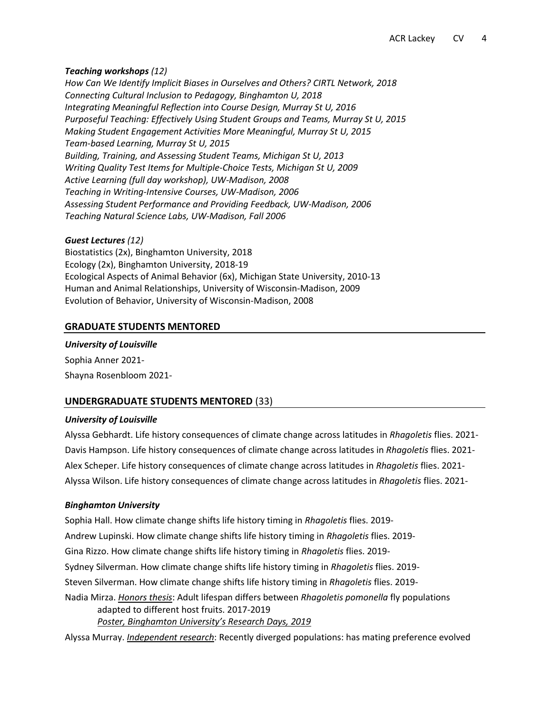#### *Teaching workshops (12)*

*How Can We Identify Implicit Biases in Ourselves and Others? CIRTL Network, 2018 Connecting Cultural Inclusion to Pedagogy, Binghamton U, 2018 Integrating Meaningful Reflection into Course Design, Murray St U, 2016 Purposeful Teaching: Effectively Using Student Groups and Teams, Murray St U, 2015 Making Student Engagement Activities More Meaningful, Murray St U, 2015 Team-based Learning, Murray St U, 2015 Building, Training, and Assessing Student Teams, Michigan St U, 2013 Writing Quality Test Items for Multiple-Choice Tests, Michigan St U, 2009 Active Learning (full day workshop), UW-Madison, 2008 Teaching in Writing-Intensive Courses, UW-Madison, 2006 Assessing Student Performance and Providing Feedback, UW-Madison, 2006 Teaching Natural Science Labs, UW-Madison, Fall 2006*

#### *Guest Lectures (12)*

Biostatistics (2x), Binghamton University, 2018 Ecology (2x), Binghamton University, 2018-19 Ecological Aspects of Animal Behavior (6x), Michigan State University, 2010-13 Human and Animal Relationships, University of Wisconsin-Madison, 2009 Evolution of Behavior, University of Wisconsin-Madison, 2008

## **GRADUATE STUDENTS MENTORED**

# *University of Louisville*

Sophia Anner 2021- Shayna Rosenbloom 2021-

## **UNDERGRADUATE STUDENTS MENTORED** (33)

#### *University of Louisville*

Alyssa Gebhardt. Life history consequences of climate change across latitudes in *Rhagoletis* flies. 2021- Davis Hampson. Life history consequences of climate change across latitudes in *Rhagoletis* flies. 2021- Alex Scheper. Life history consequences of climate change across latitudes in *Rhagoletis* flies. 2021- Alyssa Wilson. Life history consequences of climate change across latitudes in *Rhagoletis* flies. 2021-

## *Binghamton University*

Sophia Hall. How climate change shifts life history timing in *Rhagoletis* flies. 2019- Andrew Lupinski. How climate change shifts life history timing in *Rhagoletis* flies. 2019- Gina Rizzo. How climate change shifts life history timing in *Rhagoletis* flies. 2019- Sydney Silverman. How climate change shifts life history timing in *Rhagoletis* flies. 2019- Steven Silverman. How climate change shifts life history timing in *Rhagoletis* flies. 2019- Nadia Mirza. *Honors thesis*: Adult lifespan differs between *Rhagoletis pomonella* fly populations adapted to different host fruits. 2017-2019 *Poster, Binghamton University's Research Days, 2019*

Alyssa Murray. *Independent research*: Recently diverged populations: has mating preference evolved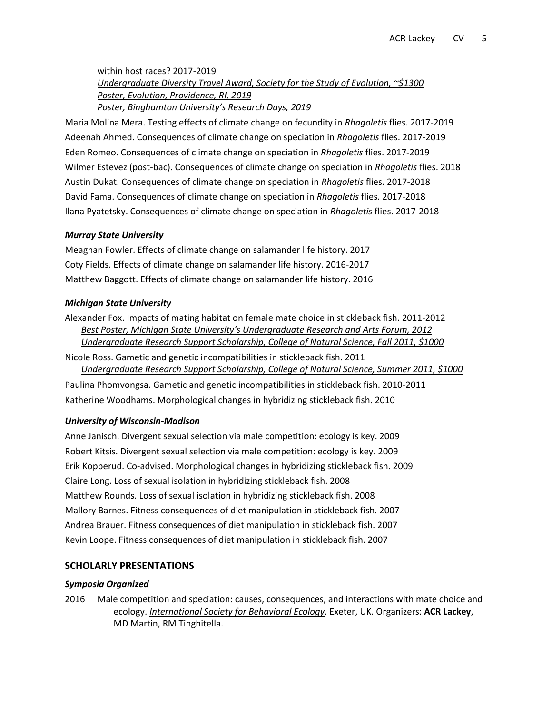within host races? 2017-2019 *Undergraduate Diversity Travel Award, Society for the Study of Evolution, ~\$1300 Poster, Evolution, Providence, RI, 2019 Poster, Binghamton University's Research Days, 2019*

Maria Molina Mera. Testing effects of climate change on fecundity in *Rhagoletis* flies. 2017-2019 Adeenah Ahmed. Consequences of climate change on speciation in *Rhagoletis* flies. 2017-2019 Eden Romeo. Consequences of climate change on speciation in *Rhagoletis* flies. 2017-2019 Wilmer Estevez (post-bac). Consequences of climate change on speciation in *Rhagoletis* flies. 2018 Austin Dukat. Consequences of climate change on speciation in *Rhagoletis* flies. 2017-2018 David Fama. Consequences of climate change on speciation in *Rhagoletis* flies. 2017-2018 Ilana Pyatetsky. Consequences of climate change on speciation in *Rhagoletis* flies. 2017-2018

#### *Murray State University*

Meaghan Fowler. Effects of climate change on salamander life history. 2017 Coty Fields. Effects of climate change on salamander life history. 2016-2017 Matthew Baggott. Effects of climate change on salamander life history. 2016

#### *Michigan State University*

Alexander Fox. Impacts of mating habitat on female mate choice in stickleback fish. 2011-2012 *Best Poster, Michigan State University's Undergraduate Research and Arts Forum, 2012 Undergraduate Research Support Scholarship, College of Natural Science, Fall 2011, \$1000*

Nicole Ross. Gametic and genetic incompatibilities in stickleback fish. 2011 *Undergraduate Research Support Scholarship, College of Natural Science, Summer 2011, \$1000* Paulina Phomvongsa. Gametic and genetic incompatibilities in stickleback fish. 2010-2011

Katherine Woodhams. Morphological changes in hybridizing stickleback fish. 2010

## *University of Wisconsin-Madison*

Anne Janisch. Divergent sexual selection via male competition: ecology is key. 2009 Robert Kitsis. Divergent sexual selection via male competition: ecology is key. 2009 Erik Kopperud. Co-advised. Morphological changes in hybridizing stickleback fish. 2009 Claire Long. Loss of sexual isolation in hybridizing stickleback fish. 2008 Matthew Rounds. Loss of sexual isolation in hybridizing stickleback fish. 2008 Mallory Barnes. Fitness consequences of diet manipulation in stickleback fish. 2007 Andrea Brauer. Fitness consequences of diet manipulation in stickleback fish. 2007 Kevin Loope. Fitness consequences of diet manipulation in stickleback fish. 2007

## **SCHOLARLY PRESENTATIONS**

#### *Symposia Organized*

2016 Male competition and speciation: causes, consequences, and interactions with mate choice and ecology. *International Society for Behavioral Ecology*. Exeter, UK. Organizers: **ACR Lackey**, MD Martin, RM Tinghitella.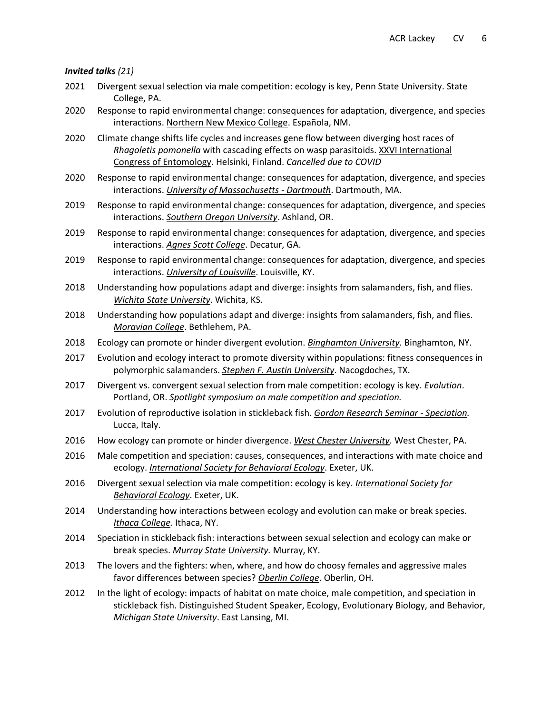#### *Invited talks (21)*

- 2021 Divergent sexual selection via male competition: ecology is key, Penn State University. State College, PA.
- 2020 Response to rapid environmental change: consequences for adaptation, divergence, and species interactions. Northern New Mexico College. Española, NM.
- 2020 Climate change shifts life cycles and increases gene flow between diverging host races of *Rhagoletis pomonella* with cascading effects on wasp parasitoids. XXVI International Congress of Entomology. Helsinki, Finland. *Cancelled due to COVID*
- 2020 Response to rapid environmental change: consequences for adaptation, divergence, and species interactions. *University of Massachusetts - Dartmouth*. Dartmouth, MA.
- 2019 Response to rapid environmental change: consequences for adaptation, divergence, and species interactions. *Southern Oregon University*. Ashland, OR.
- 2019 Response to rapid environmental change: consequences for adaptation, divergence, and species interactions. *Agnes Scott College*. Decatur, GA.
- 2019 Response to rapid environmental change: consequences for adaptation, divergence, and species interactions. *University of Louisville*. Louisville, KY.
- 2018 Understanding how populations adapt and diverge: insights from salamanders, fish, and flies. *Wichita State University*. Wichita, KS.
- 2018 Understanding how populations adapt and diverge: insights from salamanders, fish, and flies. *Moravian College*. Bethlehem, PA.
- 2018 Ecology can promote or hinder divergent evolution. *Binghamton University.* Binghamton, NY.
- 2017 Evolution and ecology interact to promote diversity within populations: fitness consequences in polymorphic salamanders. *Stephen F. Austin University*. Nacogdoches, TX.
- 2017 Divergent vs. convergent sexual selection from male competition: ecology is key. *Evolution*. Portland, OR. *Spotlight symposium on male competition and speciation.*
- 2017 Evolution of reproductive isolation in stickleback fish. *Gordon Research Seminar - Speciation.* Lucca, Italy.
- 2016 How ecology can promote or hinder divergence. *West Chester University.* West Chester, PA.
- 2016 Male competition and speciation: causes, consequences, and interactions with mate choice and ecology. *International Society for Behavioral Ecology*. Exeter, UK.
- 2016 Divergent sexual selection via male competition: ecology is key. *International Society for Behavioral Ecology*. Exeter, UK.
- 2014 Understanding how interactions between ecology and evolution can make or break species. *Ithaca College.* Ithaca, NY.
- 2014 Speciation in stickleback fish: interactions between sexual selection and ecology can make or break species. *Murray State University.* Murray, KY.
- 2013 The lovers and the fighters: when, where, and how do choosy females and aggressive males favor differences between species? *Oberlin College*. Oberlin, OH.
- 2012 In the light of ecology: impacts of habitat on mate choice, male competition, and speciation in stickleback fish. Distinguished Student Speaker, Ecology, Evolutionary Biology, and Behavior, *Michigan State University*. East Lansing, MI.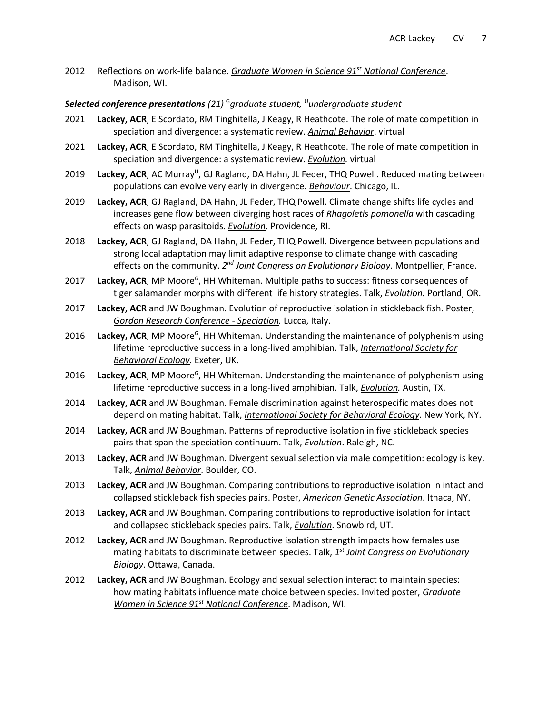2012 Reflections on work-life balance. *Graduate Women in Science 91st National Conference*. Madison, WI.

#### *Selected conference presentations (21)* <sup>G</sup>*graduate student,*  <sup>U</sup>*undergraduate student*

- 2021 **Lackey, ACR**, E Scordato, RM Tinghitella, J Keagy, R Heathcote. The role of mate competition in speciation and divergence: a systematic review. *Animal Behavior*. virtual
- 2021 **Lackey, ACR**, E Scordato, RM Tinghitella, J Keagy, R Heathcote. The role of mate competition in speciation and divergence: a systematic review. *Evolution.* virtual
- 2019 Lackey, ACR, AC Murray<sup>U</sup>, GJ Ragland, DA Hahn, JL Feder, THQ Powell. Reduced mating between populations can evolve very early in divergence. *Behaviour*. Chicago, IL.
- 2019 **Lackey, ACR**, GJ Ragland, DA Hahn, JL Feder, THQ Powell. Climate change shifts life cycles and increases gene flow between diverging host races of *Rhagoletis pomonella* with cascading effects on wasp parasitoids. *Evolution*. Providence, RI.
- 2018 **Lackey, ACR**, GJ Ragland, DA Hahn, JL Feder, THQ Powell. Divergence between populations and strong local adaptation may limit adaptive response to climate change with cascading effects on the community. *2<sup>nd</sup> Joint Congress on Evolutionary Biology*. Montpellier, France.
- 2017 Lackey, ACR, MP Moore<sup>G</sup>, HH Whiteman. Multiple paths to success: fitness consequences of tiger salamander morphs with different life history strategies. Talk, *Evolution.* Portland, OR.
- 2017 **Lackey, ACR** and JW Boughman. Evolution of reproductive isolation in stickleback fish. Poster, *Gordon Research Conference - Speciation.* Lucca, Italy.
- 2016 Lackey, ACR, MP Moore<sup>G</sup>, HH Whiteman. Understanding the maintenance of polyphenism using lifetime reproductive success in a long-lived amphibian. Talk, *International Society for Behavioral Ecology.* Exeter, UK.
- 2016 Lackey, ACR, MP Moore<sup>G</sup>, HH Whiteman. Understanding the maintenance of polyphenism using lifetime reproductive success in a long-lived amphibian. Talk, *Evolution.* Austin, TX.
- 2014 **Lackey, ACR** and JW Boughman. Female discrimination against heterospecific mates does not depend on mating habitat. Talk, *International Society for Behavioral Ecology*. New York, NY.
- 2014 **Lackey, ACR** and JW Boughman. Patterns of reproductive isolation in five stickleback species pairs that span the speciation continuum. Talk, *Evolution*. Raleigh, NC.
- 2013 **Lackey, ACR** and JW Boughman. Divergent sexual selection via male competition: ecology is key. Talk, *Animal Behavior*. Boulder, CO.
- 2013 **Lackey, ACR** and JW Boughman. Comparing contributions to reproductive isolation in intact and collapsed stickleback fish species pairs. Poster, *American Genetic Association*. Ithaca, NY.
- 2013 **Lackey, ACR** and JW Boughman. Comparing contributions to reproductive isolation for intact and collapsed stickleback species pairs. Talk, *Evolution*. Snowbird, UT.
- 2012 **Lackey, ACR** and JW Boughman. Reproductive isolation strength impacts how females use mating habitats to discriminate between species. Talk, *1 st Joint Congress on Evolutionary Biology*. Ottawa, Canada.
- 2012 **Lackey, ACR** and JW Boughman. Ecology and sexual selection interact to maintain species: how mating habitats influence mate choice between species. Invited poster, *Graduate Women in Science 91st National Conference*. Madison, WI.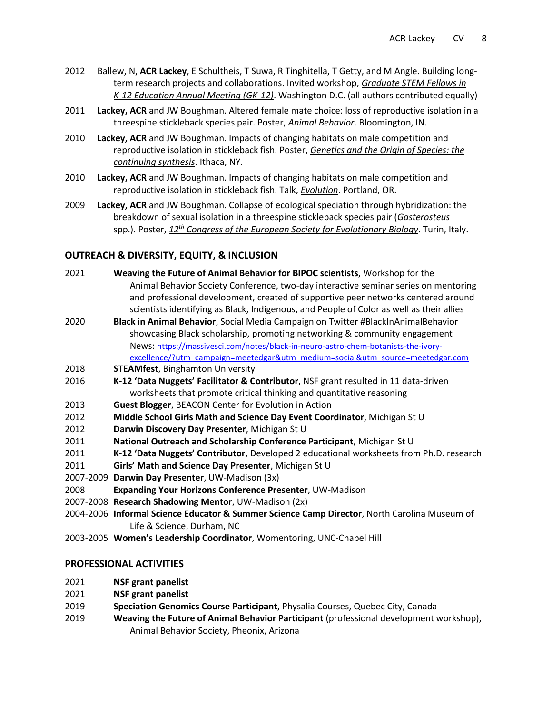- 2012 Ballew, N, **ACR Lackey**, E Schultheis, T Suwa, R Tinghitella, T Getty, and M Angle. Building longterm research projects and collaborations. Invited workshop, *Graduate STEM Fellows in K-12 Education Annual Meeting (GK-12)*. Washington D.C. (all authors contributed equally)
- 2011 **Lackey, ACR** and JW Boughman. Altered female mate choice: loss of reproductive isolation in a threespine stickleback species pair. Poster, *Animal Behavior*. Bloomington, IN.
- 2010 **Lackey, ACR** and JW Boughman. Impacts of changing habitats on male competition and reproductive isolation in stickleback fish. Poster, *Genetics and the Origin of Species: the continuing synthesis*. Ithaca, NY.
- 2010 **Lackey, ACR** and JW Boughman. Impacts of changing habitats on male competition and reproductive isolation in stickleback fish. Talk, *Evolution*. Portland, OR.
- 2009 **Lackey, ACR** and JW Boughman. Collapse of ecological speciation through hybridization: the breakdown of sexual isolation in a threespine stickleback species pair (*Gasterosteus* spp.). Poster, *12th Congress of the European Society for Evolutionary Biology*. Turin, Italy.

# **OUTREACH & DIVERSITY, EQUITY, & INCLUSION**

| 2021      | Weaving the Future of Animal Behavior for BIPOC scientists, Workshop for the<br>Animal Behavior Society Conference, two-day interactive seminar series on mentoring<br>and professional development, created of supportive peer networks centered around<br>scientists identifying as Black, Indigenous, and People of Color as well as their allies |
|-----------|------------------------------------------------------------------------------------------------------------------------------------------------------------------------------------------------------------------------------------------------------------------------------------------------------------------------------------------------------|
| 2020      | Black in Animal Behavior, Social Media Campaign on Twitter #BlackInAnimalBehavior                                                                                                                                                                                                                                                                    |
|           | showcasing Black scholarship, promoting networking & community engagement                                                                                                                                                                                                                                                                            |
|           | News: https://massivesci.com/notes/black-in-neuro-astro-chem-botanists-the-ivory-                                                                                                                                                                                                                                                                    |
|           | excellence/?utm_campaign=meetedgar&utm_medium=social&utm_source=meetedgar.com                                                                                                                                                                                                                                                                        |
| 2018      | <b>STEAMfest, Binghamton University</b>                                                                                                                                                                                                                                                                                                              |
| 2016      | K-12 'Data Nuggets' Facilitator & Contributor, NSF grant resulted in 11 data-driven                                                                                                                                                                                                                                                                  |
|           | worksheets that promote critical thinking and quantitative reasoning                                                                                                                                                                                                                                                                                 |
| 2013      | Guest Blogger, BEACON Center for Evolution in Action                                                                                                                                                                                                                                                                                                 |
| 2012      | Middle School Girls Math and Science Day Event Coordinator, Michigan St U                                                                                                                                                                                                                                                                            |
| 2012      | Darwin Discovery Day Presenter, Michigan St U                                                                                                                                                                                                                                                                                                        |
| 2011      | National Outreach and Scholarship Conference Participant, Michigan St U                                                                                                                                                                                                                                                                              |
| 2011      | K-12 'Data Nuggets' Contributor, Developed 2 educational worksheets from Ph.D. research                                                                                                                                                                                                                                                              |
| 2011      | Girls' Math and Science Day Presenter, Michigan St U                                                                                                                                                                                                                                                                                                 |
| 2007-2009 | Darwin Day Presenter, UW-Madison (3x)                                                                                                                                                                                                                                                                                                                |
| 2008      | Expanding Your Horizons Conference Presenter, UW-Madison                                                                                                                                                                                                                                                                                             |
|           | 2007-2008 Research Shadowing Mentor, UW-Madison (2x)                                                                                                                                                                                                                                                                                                 |
|           | 2004-2006 Informal Science Educator & Summer Science Camp Director North Carolina Museum of                                                                                                                                                                                                                                                          |

- 2004-2006 **Informal Science Educator & Summer Science Camp Director**, North Carolina Museum of Life & Science, Durham, NC
- 2003-2005 **Women's Leadership Coordinator**, Womentoring, UNC-Chapel Hill

## **PROFESSIONAL ACTIVITIES**

- 2021 **NSF grant panelist**
- 2021 **NSF grant panelist**
- 2019 **Speciation Genomics Course Participant**, Physalia Courses, Quebec City, Canada
- 2019 **Weaving the Future of Animal Behavior Participant** (professional development workshop), Animal Behavior Society, Pheonix, Arizona